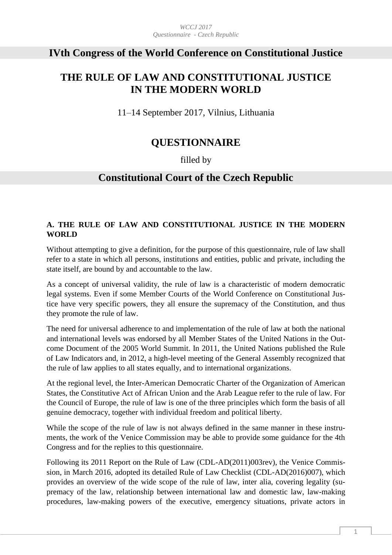# **IVth Congress of the World Conference on Constitutional Justice**

# **THE RULE OF LAW AND CONSTITUTIONAL JUSTICE IN THE MODERN WORLD**

11–14 September 2017, Vilnius, Lithuania

# **QUESTIONNAIRE**

## filled by

# **Constitutional Court of the Czech Republic**

## **A. THE RULE OF LAW AND CONSTITUTIONAL JUSTICE IN THE MODERN WORLD**

Without attempting to give a definition, for the purpose of this questionnaire, rule of law shall refer to a state in which all persons, institutions and entities, public and private, including the state itself, are bound by and accountable to the law.

As a concept of universal validity, the rule of law is a characteristic of modern democratic legal systems. Even if some Member Courts of the World Conference on Constitutional Justice have very specific powers, they all ensure the supremacy of the Constitution, and thus they promote the rule of law.

The need for universal adherence to and implementation of the rule of law at both the national and international levels was endorsed by all Member States of the United Nations in the Outcome Document of the 2005 World Summit. In 2011, the United Nations published the Rule of Law Indicators and, in 2012, a high-level meeting of the General Assembly recognized that the rule of law applies to all states equally, and to international organizations.

At the regional level, the Inter-American Democratic Charter of the Organization of American States, the Constitutive Act of African Union and the Arab League refer to the rule of law. For the Council of Europe, the rule of law is one of the three principles which form the basis of all genuine democracy, together with individual freedom and political liberty.

While the scope of the rule of law is not always defined in the same manner in these instruments, the work of the Venice Commission may be able to provide some guidance for the 4th Congress and for the replies to this questionnaire.

Following its 2011 Report on the Rule of Law (CDL-AD(2011)003rev), the Venice Commission, in March 2016, adopted its detailed Rule of Law Checklist (CDL-AD(2016)007), which provides an overview of the wide scope of the rule of law, inter alia, covering legality (supremacy of the law, relationship between international law and domestic law, law-making procedures, law-making powers of the executive, emergency situations, private actors in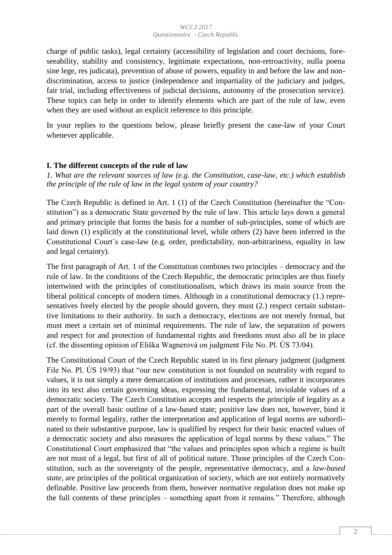charge of public tasks), legal certainty (accessibility of legislation and court decisions, foreseeability, stability and consistency, legitimate expectations, non-retroactivity, nulla poena sine lege, res judicata), prevention of abuse of powers, equality in and before the law and nondiscrimination, access to justice (independence and impartiality of the judiciary and judges, fair trial, including effectiveness of judicial decisions, autonomy of the prosecution service). These topics can help in order to identify elements which are part of the rule of law, even when they are used without an explicit reference to this principle.

In your replies to the questions below, please briefly present the case-law of your Court whenever applicable.

## **I. The different concepts of the rule of law**

*1. What are the relevant sources of law (e.g. the Constitution, case-law, etc.) which establish the principle of the rule of law in the legal system of your country?* 

The Czech Republic is defined in Art. 1 (1) of the Czech Constitution (hereinafter the "Constitution") as a democratic State governed by the rule of law. This article lays down a general and primary principle that forms the basis for a number of sub-principles, some of which are laid down (1) explicitly at the constitutional level, while others (2) have been inferred in the Constitutional Court's case-law (e.g. order, predictability, non-arbitrariness, equality in law and legal certainty).

The first paragraph of Art. 1 of the Constitution combines two principles – democracy and the rule of law. In the conditions of the Czech Republic, the democratic principles are thus finely intertwined with the principles of constitutionalism, which draws its main source from the liberal political concepts of modern times. Although in a constitutional democracy (1.) representatives freely elected by the people should govern, they must (2.) respect certain substantive limitations to their authority. In such a democracy, elections are not merely formal, but must meet a certain set of minimal requirements. The rule of law, the separation of powers and respect for and protection of fundamental rights and freedoms must also all be in place (cf. the dissenting opinion of Eliška Wagnerová on judgment File No. Pl. ÚS 73/04).

The Constitutional Court of the Czech Republic stated in its first plenary judgment (judgment File No. Pl. ÚS 19/93) that "our new constitution is not founded on neutrality with regard to values, it is not simply a mere demarcation of institutions and processes, rather it incorporates into its text also certain governing ideas, expressing the fundamental, inviolable values of a democratic society. The Czech Constitution accepts and respects the principle of legality as a part of the overall basic outline of a law-based state; positive law does not, however, bind it merely to formal legality, rather the interpretation and application of legal norms are subordinated to their substantive purpose, law is qualified by respect for their basic enacted values of a democratic society and also measures the application of legal norms by these values." The Constitutional Court emphasized that "the values and principles upon which a regime is built are not must of a legal, but first of all of political nature. Those principles of the Czech Constitution, such as the sovereignty of the people, representative democracy, and a *law-based state*, are principles of the political organization of society, which are not entirely normatively definable. Positive law proceeds from them, however normative regulation does not make up the full contents of these principles – something apart from it remains." Therefore, although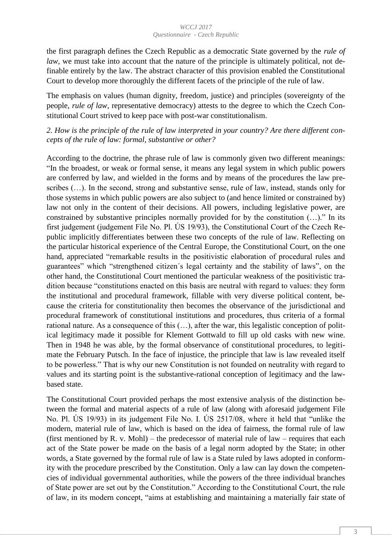the first paragraph defines the Czech Republic as a democratic State governed by the *rule of law*, we must take into account that the nature of the principle is ultimately political, not definable entirely by the law. The abstract character of this provision enabled the Constitutional Court to develop more thoroughly the different facets of the principle of the rule of law.

The emphasis on values (human dignity, freedom, justice) and principles (sovereignty of the people, *rule of law*, representative democracy) attests to the degree to which the Czech Constitutional Court strived to keep pace with post-war constitutionalism.

*2. How is the principle of the rule of law interpreted in your country? Are there different concepts of the rule of law: formal, substantive or other?* 

According to the doctrine, the phrase rule of law is commonly given two different meanings: "In the broadest, or weak or formal sense, it means any legal system in which public powers are conferred by law, and wielded in the forms and by means of the procedures the law prescribes (…). In the second, strong and substantive sense, rule of law, instead, stands only for those systems in which public powers are also subject to (and hence limited or constrained by) law not only in the content of their decisions. All powers, including legislative power, are constrained by substantive principles normally provided for by the constitution (…)." In its first judgement (judgement File No. Pl. ÚS 19/93), the Constitutional Court of the Czech Republic implicitly differentiates between these two concepts of the rule of law. Reflecting on the particular historical experience of the Central Europe, the Constitutional Court, on the one hand, appreciated "remarkable results in the positivistic elaboration of procedural rules and guarantees" which "strengthened citizen´s legal certainty and the stability of laws", on the other hand, the Constitutional Court mentioned the particular weakness of the positivistic tradition because "constitutions enacted on this basis are neutral with regard to values: they form the institutional and procedural framework, fillable with very diverse political content, because the criteria for constitutionality then becomes the observance of the jurisdictional and procedural framework of constitutional institutions and procedures, thus criteria of a formal rational nature. As a consequence of this (…), after the war, this legalistic conception of political legitimacy made it possible for Klement Gottwald to fill up old casks with new wine. Then in 1948 he was able, by the formal observance of constitutional procedures, to legitimate the February Putsch. In the face of injustice, the principle that law is law revealed itself to be powerless." That is why our new Constitution is not founded on neutrality with regard to values and its starting point is the substantive-rational conception of legitimacy and the lawbased state.

The Constitutional Court provided perhaps the most extensive analysis of the distinction between the formal and material aspects of a rule of law (along with aforesaid judgement File No. Pl. ÚS 19/93) in its judgement File No. I. ÚS 2517/08, where it held that "unlike the modern, material rule of law, which is based on the idea of fairness, the formal rule of law (first mentioned by R. v. Mohl) – the predecessor of material rule of law – requires that each act of the State power be made on the basis of a legal norm adopted by the State; in other words, a State governed by the formal rule of law is a State ruled by laws adopted in conformity with the procedure prescribed by the Constitution. Only a law can lay down the competencies of individual governmental authorities, while the powers of the three individual branches of State power are set out by the Constitution." According to the Constitutional Court, the rule of law, in its modern concept, "aims at establishing and maintaining a materially fair state of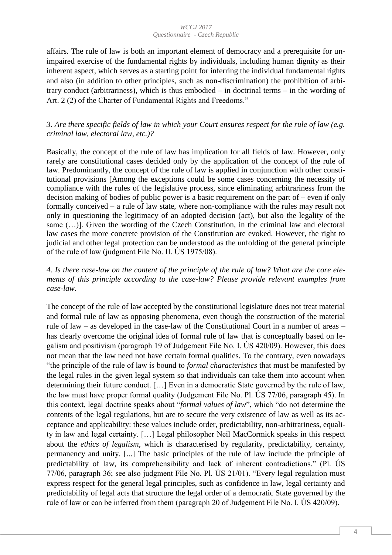affairs. The rule of law is both an important element of democracy and a prerequisite for unimpaired exercise of the fundamental rights by individuals, including human dignity as their inherent aspect, which serves as a starting point for inferring the individual fundamental rights and also (in addition to other principles, such as non-discrimination) the prohibition of arbitrary conduct (arbitrariness), which is thus embodied – in doctrinal terms – in the wording of Art. 2 (2) of the Charter of Fundamental Rights and Freedoms."

## *3. Are there specific fields of law in which your Court ensures respect for the rule of law (e.g. criminal law, electoral law, etc.)?*

Basically, the concept of the rule of law has implication for all fields of law. However, only rarely are constitutional cases decided only by the application of the concept of the rule of law. Predominantly, the concept of the rule of law is applied in conjunction with other constitutional provisions [Among the exceptions could be some cases concerning the necessity of compliance with the rules of the legislative process, since eliminating arbitrariness from the decision making of bodies of public power is a basic requirement on the part of – even if only formally conceived – a rule of law state, where non-compliance with the rules may result not only in questioning the legitimacy of an adopted decision (act), but also the legality of the same  $(...)$ . Given the wording of the Czech Constitution, in the criminal law and electoral law cases the more concrete provision of the Constitution are evoked. However, the right to judicial and other legal protection can be understood as the unfolding of the general principle of the rule of law (judgment File No. II. ÚS 1975/08).

## *4. Is there case-law on the content of the principle of the rule of law? What are the core elements of this principle according to the case-law? Please provide relevant examples from case-law.*

The concept of the rule of law accepted by the constitutional legislature does not treat material and formal rule of law as opposing phenomena, even though the construction of the material rule of law – as developed in the case-law of the Constitutional Court in a number of areas – has clearly overcome the original idea of formal rule of law that is conceptually based on legalism and positivism (paragraph 19 of Judgement File No. I. ÚS 420/09). However, this does not mean that the law need not have certain formal qualities. To the contrary, even nowadays "the principle of the rule of law is bound to *formal characteristics* that must be manifested by the legal rules in the given legal system so that individuals can take them into account when determining their future conduct. […] Even in a democratic State governed by the rule of law, the law must have proper formal quality (Judgement File No. Pl. ÚS 77/06, paragraph 45). In this context, legal doctrine speaks about "*formal values of law*", which "do not determine the contents of the legal regulations, but are to secure the very existence of law as well as its acceptance and applicability: these values include order, predictability, non-arbitrariness, equality in law and legal certainty. […] Legal philosopher Neil MacCormick speaks in this respect about the *ethics of legalism*, which is characterised by regularity, predictability, certainty, permanency and unity. [...] The basic principles of the rule of law include the principle of predictability of law, its comprehensibility and lack of inherent contradictions." (Pl. ÚS 77/06, paragraph 36; see also judgment File No. Pl. ÚS 21/01). "Every legal regulation must express respect for the general legal principles, such as confidence in law, legal certainty and predictability of legal acts that structure the legal order of a democratic State governed by the rule of law or can be inferred from them (paragraph 20 of Judgement File No. I. ÚS 420/09).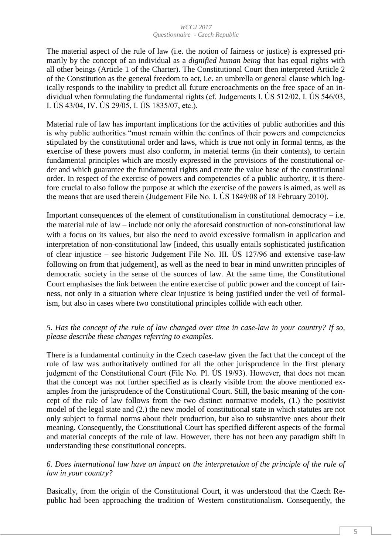The material aspect of the rule of law (i.e. the notion of fairness or justice) is expressed primarily by the concept of an individual as a *dignified human being* that has equal rights with all other beings (Article 1 of the Charter). The Constitutional Court then interpreted Article 2 of the Constitution as the general freedom to act, i.e. an umbrella or general clause which logically responds to the inability to predict all future encroachments on the free space of an individual when formulating the fundamental rights (cf. Judgements I. ÚS 512/02, I. ÚS 546/03, I. ÚS 43/04, IV. ÚS 29/05, I. ÚS 1835/07, etc.).

Material rule of law has important implications for the activities of public authorities and this is why public authorities "must remain within the confines of their powers and competencies stipulated by the constitutional order and laws, which is true not only in formal terms, as the exercise of these powers must also conform, in material terms (in their contents), to certain fundamental principles which are mostly expressed in the provisions of the constitutional order and which guarantee the fundamental rights and create the value base of the constitutional order. In respect of the exercise of powers and competencies of a public authority, it is therefore crucial to also follow the purpose at which the exercise of the powers is aimed, as well as the means that are used therein (Judgement File No. I. ÚS 1849/08 of 18 February 2010).

Important consequences of the element of constitutionalism in constitutional democracy  $-$  i.e. the material rule of law – include not only the aforesaid construction of non-constitutional law with a focus on its values, but also the need to avoid excessive formalism in application and interpretation of non-constitutional law [indeed, this usually entails sophisticated justification of clear injustice – see historic Judgement File No. III. ÚS 127/96 and extensive case-law following on from that judgement], as well as the need to bear in mind unwritten principles of democratic society in the sense of the sources of law. At the same time, the Constitutional Court emphasises the link between the entire exercise of public power and the concept of fairness, not only in a situation where clear injustice is being justified under the veil of formalism, but also in cases where two constitutional principles collide with each other.

## *5. Has the concept of the rule of law changed over time in case-law in your country? If so, please describe these changes referring to examples.*

There is a fundamental continuity in the Czech case-law given the fact that the concept of the rule of law was authoritatively outlined for all the other jurisprudence in the first plenary judgment of the Constitutional Court (File No. Pl. ÚS 19/93). However, that does not mean that the concept was not further specified as is clearly visible from the above mentioned examples from the jurisprudence of the Constitutional Court. Still, the basic meaning of the concept of the rule of law follows from the two distinct normative models, (1.) the positivist model of the legal state and (2.) the new model of constitutional state in which statutes are not only subject to formal norms about their production, but also to substantive ones about their meaning. Consequently, the Constitutional Court has specified different aspects of the formal and material concepts of the rule of law. However, there has not been any paradigm shift in understanding these constitutional concepts.

## *6. Does international law have an impact on the interpretation of the principle of the rule of law in your country?*

Basically, from the origin of the Constitutional Court, it was understood that the Czech Republic had been approaching the tradition of Western constitutionalism. Consequently, the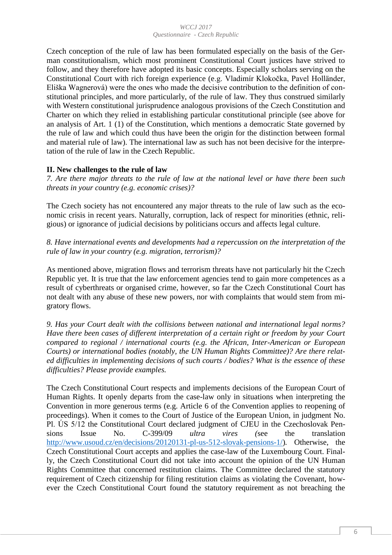Czech conception of the rule of law has been formulated especially on the basis of the German constitutionalism, which most prominent Constitutional Court justices have strived to follow, and they therefore have adopted its basic concepts. Especially scholars serving on the Constitutional Court with rich foreign experience (e.g. Vladimír Klokočka, Pavel Holländer, Eliška Wagnerová) were the ones who made the decisive contribution to the definition of constitutional principles, and more particularly, of the rule of law. They thus construed similarly with Western constitutional jurisprudence analogous provisions of the Czech Constitution and Charter on which they relied in establishing particular constitutional principle (see above for an analysis of Art. 1 (1) of the Constitution, which mentions a democratic State governed by the rule of law and which could thus have been the origin for the distinction between formal and material rule of law). The international law as such has not been decisive for the interpretation of the rule of law in the Czech Republic.

## **II. New challenges to the rule of law**

*7. Are there major threats to the rule of law at the national level or have there been such threats in your country (e.g. economic crises)?* 

The Czech society has not encountered any major threats to the rule of law such as the economic crisis in recent years. Naturally, corruption, lack of respect for minorities (ethnic, religious) or ignorance of judicial decisions by politicians occurs and affects legal culture.

*8. Have international events and developments had a repercussion on the interpretation of the rule of law in your country (e.g. migration, terrorism)?* 

As mentioned above, migration flows and terrorism threats have not particularly hit the Czech Republic yet. It is true that the law enforcement agencies tend to gain more competences as a result of cyberthreats or organised crime, however, so far the Czech Constitutional Court has not dealt with any abuse of these new powers, nor with complaints that would stem from migratory flows.

*9. Has your Court dealt with the collisions between national and international legal norms? Have there been cases of different interpretation of a certain right or freedom by your Court compared to regional / international courts (e.g. the African, Inter-American or European Courts) or international bodies (notably, the UN Human Rights Committee)? Are there related difficulties in implementing decisions of such courts / bodies? What is the essence of these difficulties? Please provide examples.* 

The Czech Constitutional Court respects and implements decisions of the European Court of Human Rights. It openly departs from the case-law only in situations when interpreting the Convention in more generous terms (e.g. Article 6 of the Convention applies to reopening of proceedings). When it comes to the Court of Justice of the European Union, in judgment No. Pl. ÚS 5/12 the Constitutional Court declared judgment of CJEU in the Czechoslovak Pensions Issue No. C-399/09 *ultra vires (*see the translation [http://www.usoud.cz/en/decisions/20120131-pl-us-512-slovak-pensions-1/\)](http://www.usoud.cz/en/decisions/20120131-pl-us-512-slovak-pensions-1/)*.* Otherwise, the Czech Constitutional Court accepts and applies the case-law of the Luxembourg Court. Finally, the Czech Constitutional Court did not take into account the opinion of the UN Human Rights Committee that concerned restitution claims. The Committee declared the statutory requirement of Czech citizenship for filing restitution claims as violating the Covenant, however the Czech Constitutional Court found the statutory requirement as not breaching the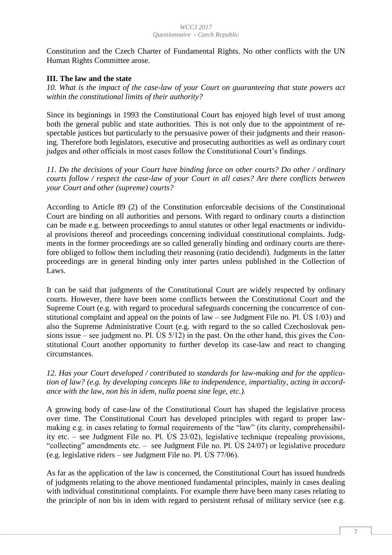Constitution and the Czech Charter of Fundamental Rights. No other conflicts with the UN Human Rights Committee arose.

## **III. The law and the state**

*10. What is the impact of the case-law of your Court on guaranteeing that state powers act within the constitutional limits of their authority?* 

Since its beginnings in 1993 the Constitutional Court has enjoyed high level of trust among both the general public and state authorities. This is not only due to the appointment of respectable justices but particularly to the persuasive power of their judgments and their reasoning. Therefore both legislators, executive and prosecuting authorities as well as ordinary court judges and other officials in most cases follow the Constitutional Court's findings.

*11. Do the decisions of your Court have binding force on other courts? Do other / ordinary courts follow / respect the case-law of your Court in all cases? Are there conflicts between your Court and other (supreme) courts?* 

According to Article 89 (2) of the Constitution enforceable decisions of the Constitutional Court are binding on all authorities and persons. With regard to ordinary courts a distinction can be made e.g. between proceedings to annul statutes or other legal enactments or individual provisions thereof and proceedings concerning individual constitutional complaints. Judgments in the former proceedings are so called generally binding and ordinary courts are therefore obliged to follow them including their reasoning (ratio decidendi). Judgments in the latter proceedings are in general binding only inter partes unless published in the Collection of Laws.

It can be said that judgments of the Constitutional Court are widely respected by ordinary courts. However, there have been some conflicts between the Constitutional Court and the Supreme Court (e.g. with regard to procedural safeguards concerning the concurrence of constitutional complaint and appeal on the points of law – see Judgment File no. Pl. US  $1/03$ ) and also the Supreme Administrative Court (e.g. with regard to the so called Czechoslovak pensions issue – see judgment no. Pl. US  $5/12$ ) in the past. On the other hand, this gives the Constitutional Court another opportunity to further develop its case-law and react to changing circumstances.

*12. Has your Court developed / contributed to standards for law-making and for the application of law? (e.g. by developing concepts like to independence, impartiality, acting in accordance with the law, non bis in idem, nulla poena sine lege, etc.).* 

A growing body of case-law of the Constitutional Court has shaped the legislative process over time. The Constitutional Court has developed principles with regard to proper lawmaking e.g. in cases relating to formal requirements of the "law" (its clarity, comprehensibility etc. – see Judgment File no. Pl. ÚS 23/02), legislative technique (repealing provisions, "collecting" amendments etc. – see Judgment File no. Pl. ÚS 24/07) or legislative procedure (e.g. legislative riders – see Judgment File no. Pl. ÚS 77/06).

As far as the application of the law is concerned, the Constitutional Court has issued hundreds of judgments relating to the above mentioned fundamental principles, mainly in cases dealing with individual constitutional complaints. For example there have been many cases relating to the principle of non bis in idem with regard to persistent refusal of military service (see e.g.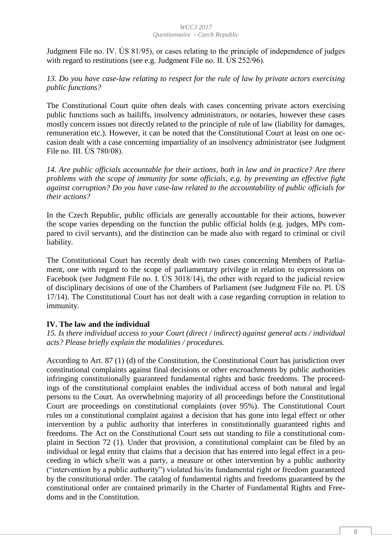Judgment File no. IV. ÚS 81/95), or cases relating to the principle of independence of judges with regard to restitutions (see e.g. Judgment File no. II. US 252/96).

*13. Do you have case-law relating to respect for the rule of law by private actors exercising public functions?* 

The Constitutional Court quite often deals with cases concerning private actors exercising public functions such as bailiffs, insolvency administrators, or notaries, however these cases mostly concern issues not directly related to the principle of rule of law (liability for damages, remuneration etc.). However, it can be noted that the Constitutional Court at least on one occasion dealt with a case concerning impartiality of an insolvency administrator (see Judgment File no. III. ÚS 780/08).

*14. Are public officials accountable for their actions, both in law and in practice? Are there problems with the scope of immunity for some officials, e.g. by preventing an effective fight against corruption? Do you have case-law related to the accountability of public officials for their actions?* 

In the Czech Republic, public officials are generally accountable for their actions, however the scope varies depending on the function the public official holds (e.g. judges, MPs compared to civil servants), and the distinction can be made also with regard to criminal or civil liability.

The Constitutional Court has recently dealt with two cases concerning Members of Parliament, one with regard to the scope of parliamentary privilege in relation to expressions on Facebook (see Judgment File no. I. ÚS 3018/14), the other with regard to the judicial review of disciplinary decisions of one of the Chambers of Parliament (see Judgment File no. Pl. ÚS 17/14). The Constitutional Court has not dealt with a case regarding corruption in relation to immunity.

## **IV. The law and the individual**

*15. Is there individual access to your Court (direct / indirect) against general acts / individual acts? Please briefly explain the modalities / procedures.* 

According to Art. 87 (1) (d) of the Constitution, the Constitutional Court has jurisdiction over constitutional complaints against final decisions or other encroachments by public authorities infringing constitutionally guaranteed fundamental rights and basic freedoms. The proceedings of the constitutional complaint enables the individual access of both natural and legal persons to the Court. An overwhelming majority of all proceedings before the Constitutional Court are proceedings on constitutional complaints (over 95%). The Constitutional Court rules on a constitutional complaint against a decision that has gone into legal effect or other intervention by a public authority that interferes in constitutionally guaranteed rights and freedoms. The Act on the Constitutional Court sets out standing to file a constitutional complaint in Section 72 (1). Under that provision, a constitutional complaint can be filed by an individual or legal entity that claims that a decision that has entered into legal effect in a proceeding in which s/he/it was a party, a measure or other intervention by a public authority ("intervention by a public authority") violated his/its fundamental right or freedom guaranteed by the constitutional order. The catalog of fundamental rights and freedoms guaranteed by the constitutional order are contained primarily in the Charter of Fundamental Rights and Freedoms and in the Constitution.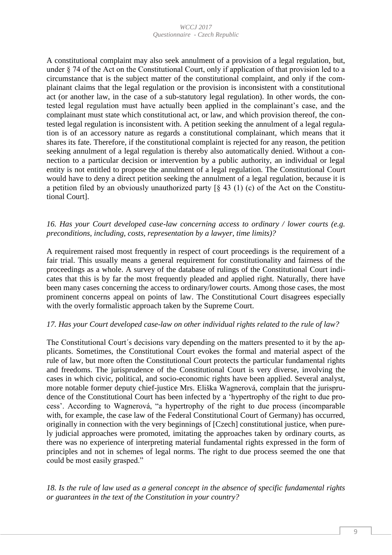A constitutional complaint may also seek annulment of a provision of a legal regulation, but, under § 74 of the Act on the Constitutional Court, only if application of that provision led to a circumstance that is the subject matter of the constitutional complaint, and only if the complainant claims that the legal regulation or the provision is inconsistent with a constitutional act (or another law, in the case of a sub-statutory legal regulation). In other words, the contested legal regulation must have actually been applied in the complainant's case, and the complainant must state which constitutional act, or law, and which provision thereof, the contested legal regulation is inconsistent with. A petition seeking the annulment of a legal regulation is of an accessory nature as regards a constitutional complainant, which means that it shares its fate. Therefore, if the constitutional complaint is rejected for any reason, the petition seeking annulment of a legal regulation is thereby also automatically denied. Without a connection to a particular decision or intervention by a public authority, an individual or legal entity is not entitled to propose the annulment of a legal regulation. The Constitutional Court would have to deny a direct petition seeking the annulment of a legal regulation, because it is a petition filed by an obviously unauthorized party  $\lceil \S 43 (1) (c) \rceil$  of the Act on the Constitutional Court].

## *16. Has your Court developed case-law concerning access to ordinary / lower courts (e.g. preconditions, including, costs, representation by a lawyer, time limits)?*

A requirement raised most frequently in respect of court proceedings is the requirement of a fair trial. This usually means a general requirement for constitutionality and fairness of the proceedings as a whole. A survey of the database of rulings of the Constitutional Court indicates that this is by far the most frequently pleaded and applied right. Naturally, there have been many cases concerning the access to ordinary/lower courts. Among those cases, the most prominent concerns appeal on points of law. The Constitutional Court disagrees especially with the overly formalistic approach taken by the Supreme Court.

### *17. Has your Court developed case-law on other individual rights related to the rule of law?*

The Constitutional Court´s decisions vary depending on the matters presented to it by the applicants. Sometimes, the Constitutional Court evokes the formal and material aspect of the rule of law, but more often the Constitutional Court protects the particular fundamental rights and freedoms. The jurisprudence of the Constitutional Court is very diverse, involving the cases in which civic, political, and socio-economic rights have been applied. Several analyst, more notable former deputy chief-justice Mrs. Eliška Wagnerová, complain that the jurisprudence of the Constitutional Court has been infected by a 'hypertrophy of the right to due process'. According to Wagnerová, "a hypertrophy of the right to due process (incomparable with, for example, the case law of the Federal Constitutional Court of Germany) has occurred, originally in connection with the very beginnings of [Czech] constitutional justice, when purely judicial approaches were promoted, imitating the approaches taken by ordinary courts, as there was no experience of interpreting material fundamental rights expressed in the form of principles and not in schemes of legal norms. The right to due process seemed the one that could be most easily grasped."

*18. Is the rule of law used as a general concept in the absence of specific fundamental rights or guarantees in the text of the Constitution in your country?*